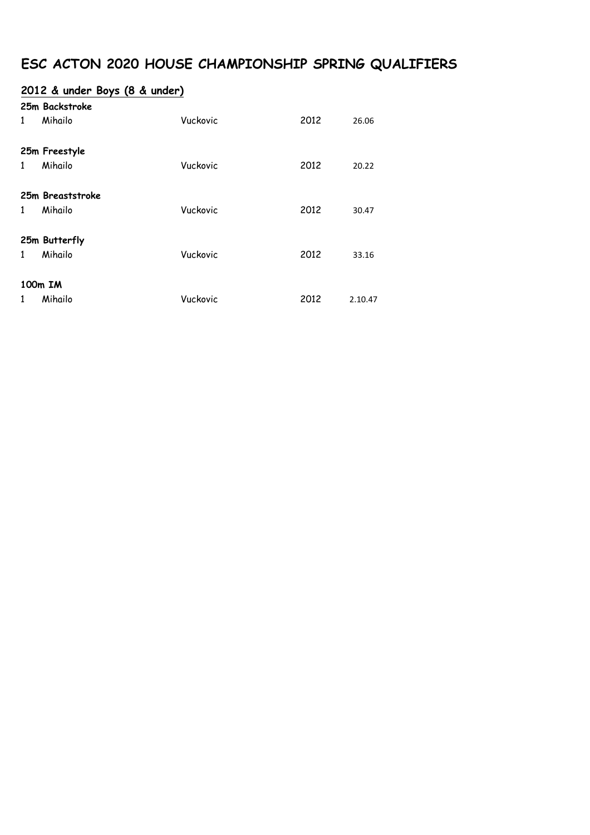# **ESC ACTON 2020 HOUSE CHAMPIONSHIP SPRING QUALIFIERS**

### **2012 & under Boys (8 & under)**

| $\mathbf{1}$                                                      | 25m Backstroke<br>Mihailo   | Vuckovic | 2012 | 26.06 |  |
|-------------------------------------------------------------------|-----------------------------|----------|------|-------|--|
| $\mathbf{1}$                                                      | 25m Freestyle<br>Mihailo    | Vuckovic | 2012 | 20.22 |  |
| 1                                                                 | 25m Breaststroke<br>Mihailo | Vuckovic | 2012 | 30.47 |  |
| $\mathbf{1}$                                                      | 25m Butterfly<br>Mihailo    | Vuckovic | 2012 | 33.16 |  |
| 100m IM<br>Mihailo<br>Vuckovic<br>2012<br>$\mathbf{1}$<br>2.10.47 |                             |          |      |       |  |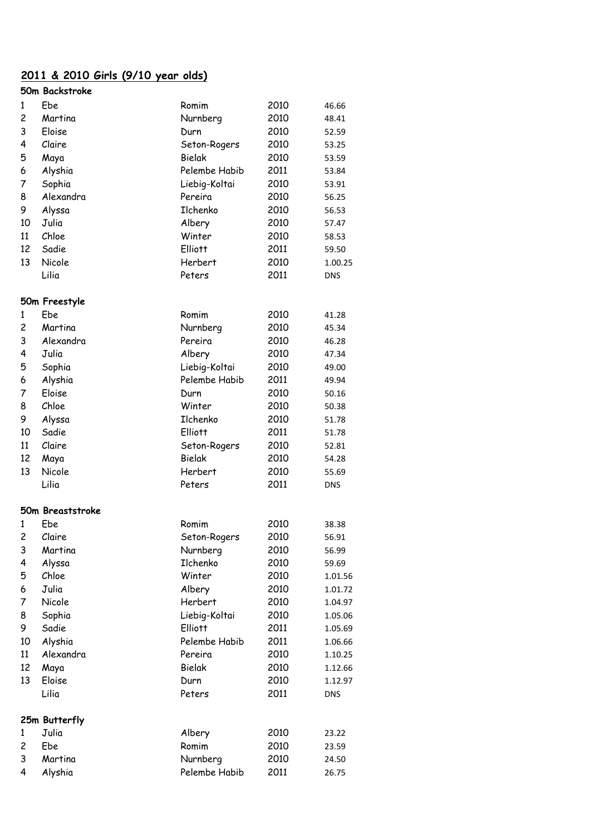### **2011 & 2010 Girls (9/10 year olds)**

|                | 50m Backstroke   |                |      |            |
|----------------|------------------|----------------|------|------------|
| 1              | Ebe              | Romim          | 2010 | 46.66      |
| $\overline{c}$ | Martina          | Nurnberg       | 2010 | 48.41      |
| 3              | Eloise           | Durn           | 2010 | 52.59      |
| 4              | Claire           | Seton-Rogers   | 2010 | 53.25      |
| 5              | Maya             | Bielak         | 2010 | 53.59      |
| 6              | Alyshia          | Pelembe Habib  | 2011 | 53.84      |
| 7              | Sophia           | Liebig-Koltai  | 2010 | 53.91      |
| 8              | Alexandra        | Pereira        | 2010 | 56.25      |
| 9              | Alyssa           | Ilchenko       | 2010 | 56.53      |
| 10             | Julia            | Albery         | 2010 | 57.47      |
| 11             | Chloe            | Winter         | 2010 | 58.53      |
| 12             | Sadie            | <b>Elliott</b> | 2011 | 59.50      |
| 13             | Nicole           | Herbert        | 2010 | 1.00.25    |
|                | Lilia            | Peters         | 2011 | <b>DNS</b> |
|                | 50m Freestyle    |                |      |            |
| 1              | Ebe              | Romim          | 2010 | 41.28      |
| 2              | Martina          | Nurnberg       | 2010 | 45.34      |
| 3              | Alexandra        | Pereira        | 2010 | 46.28      |
| 4              | Julia            | Albery         | 2010 | 47.34      |
| 5              | Sophia           | Liebig-Koltai  | 2010 | 49.00      |
| 6              | Alyshia          | Pelembe Habib  | 2011 | 49.94      |
| 7              | Eloise           | Durn           | 2010 | 50.16      |
| 8              | Chloe            | Winter         | 2010 | 50.38      |
| 9              | Alyssa           | Ilchenko       | 2010 | 51.78      |
| 10             | Sadie            | <b>Elliott</b> | 2011 | 51.78      |
| 11             | Claire           | Seton-Rogers   | 2010 | 52.81      |
| 12             | Maya             | Bielak         | 2010 | 54.28      |
| 13             | Nicole           | Herbert        | 2010 | 55.69      |
|                | Lilia            | Peters         | 2011 | <b>DNS</b> |
|                |                  |                |      |            |
|                | 50m Breaststroke |                |      |            |
| 1              | Ebe              | Romim          | 2010 | 38.38      |
| 2              | Claire           | Seton-Rogers   | 2010 | 56.91      |
| 3              | Martina          | Nurnberg       | 2010 | 56.99      |
| 4              | Alyssa           | Ilchenko       | 2010 | 59.69      |
| 5              | Chloe            | Winter         | 2010 | 1.01.56    |
| 6              | Julia            | Albery         | 2010 | 1.01.72    |
| 7              | Nicole           | Herbert        | 2010 | 1.04.97    |
| 8              | Sophia           | Liebig-Koltai  | 2010 | 1.05.06    |
| 9              | Sadie            | <b>Elliott</b> | 2011 | 1.05.69    |
| 10             | Alyshia          | Pelembe Habib  | 2011 | 1.06.66    |
| 11             | Alexandra        | Pereira        | 2010 | 1.10.25    |
| 12             | Maya             | Bielak         | 2010 | 1.12.66    |
| 13             | Eloise           | Durn           | 2010 | 1.12.97    |
|                | Lilia            | Peters         | 2011 | <b>DNS</b> |
|                | 25m Butterfly    |                |      |            |
| 1              | Julia            | Albery         | 2010 | 23.22      |
| 2              | Ebe              | Romim          | 2010 | 23.59      |
| 3              | Martina          | Nurnberg       | 2010 | 24.50      |
| 4              | Alyshia          | Pelembe Habib  | 2011 | 26.75      |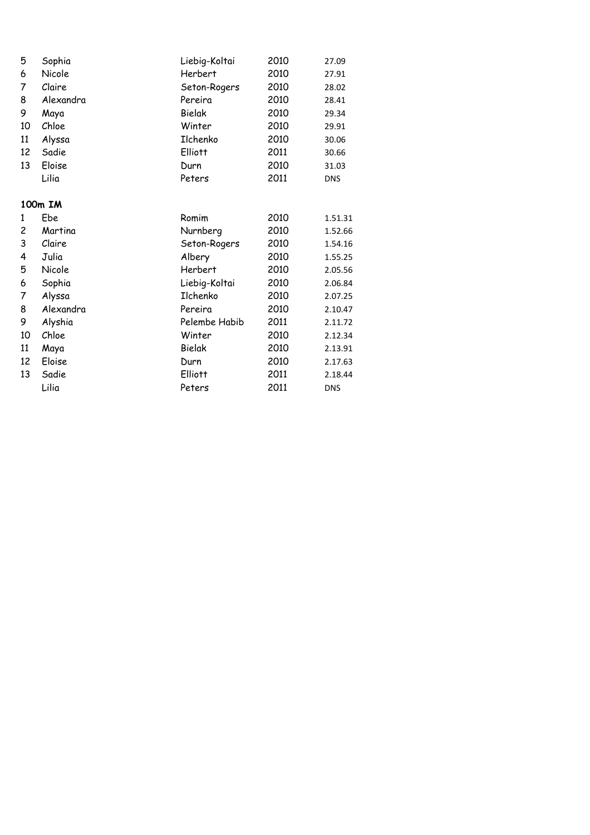| 5  | Sophia    | Liebig-Koltai  | 2010 | 27.09      |
|----|-----------|----------------|------|------------|
| 6  | Nicole    | Herbert        | 2010 | 27.91      |
| 7  | Claire    | Seton-Rogers   | 2010 | 28.02      |
| 8  | Alexandra | Pereira        | 2010 | 28.41      |
| 9  | Maya      | Bielak         | 2010 | 29.34      |
| 10 | Chloe     | Winter         | 2010 | 29.91      |
| 11 | Alyssa    | Ilchenko       | 2010 | 30.06      |
| 12 | Sadie     | <b>Elliott</b> | 2011 | 30.66      |
| 13 | Eloise    | Durn           | 2010 | 31.03      |
|    | Lilia     | Peters         | 2011 | <b>DNS</b> |
|    | 100m IM   |                |      |            |
| 1  | Ebe       | Romim          | 2010 | 1.51.31    |
| 2  | Martina   | Nurnberg       | 2010 | 1.52.66    |
| 3  | Claire    | Seton-Rogers   | 2010 | 1.54.16    |
| 4  | Julia     | Albery         | 2010 | 1.55.25    |
| 5  | Nicole    | Herbert        | 2010 | 2.05.56    |
| 6  | Sophia    | Liebig-Koltai  | 2010 | 2.06.84    |
| 7  | Alyssa    | Ilchenko       | 2010 | 2.07.25    |
| 8  | Alexandra | Pereira        | 2010 | 2.10.47    |
| 9  | Alyshia   | Pelembe Habib  | 2011 | 2.11.72    |
| 10 | Chloe     | Winter         | 2010 | 2.12.34    |
| 11 | Maya      | Bielak         | 2010 | 2.13.91    |
| 12 | Eloise    | Durn           | 2010 | 2.17.63    |
| 13 | Sadie     | <b>Elliott</b> | 2011 | 2.18.44    |
|    | Lilia     | Peters         | 2011 | <b>DNS</b> |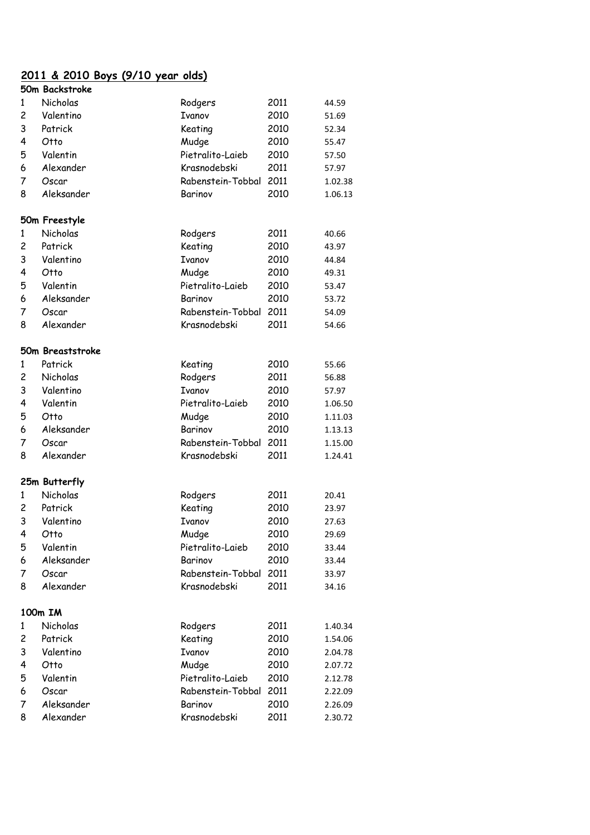### **2011 & 2010 Boys (9/10 year olds)**

|                | 50m Backstroke   |                   |      |         |
|----------------|------------------|-------------------|------|---------|
| 1              | Nicholas         | Rodgers           | 2011 | 44.59   |
| 2              | Valentino        | Ivanov            | 2010 | 51.69   |
| 3              | Patrick          | Keating           | 2010 | 52.34   |
| 4              | Otto             | Mudge             | 2010 | 55.47   |
| 5              | Valentin         | Pietralito-Laieb  | 2010 | 57.50   |
| 6              | Alexander        | Krasnodebski      | 2011 | 57.97   |
| 7              | Oscar            | Rabenstein-Tobbal | 2011 | 1.02.38 |
| 8              | Aleksander       | Barinov           | 2010 | 1.06.13 |
|                | 50m Freestyle    |                   |      |         |
| $\mathbf{1}$   | Nicholas         | Rodgers           | 2011 | 40.66   |
| $\overline{c}$ | Patrick          | Keating           | 2010 | 43.97   |
| 3              | Valentino        | <b>Ivanov</b>     | 2010 | 44.84   |
| 4              | Otto             | Mudge             | 2010 | 49.31   |
| 5              | Valentin         | Pietralito-Laieb  | 2010 | 53.47   |
| 6              | Aleksander       | Barinov           | 2010 | 53.72   |
| 7              | Oscar            | Rabenstein-Tobbal | 2011 | 54.09   |
| 8              | Alexander        | Krasnodebski      | 2011 | 54.66   |
|                | 50m Breaststroke |                   |      |         |
| $\mathbf{1}$   | Patrick          | Keating           | 2010 | 55.66   |
| $\overline{c}$ | Nicholas         | Rodgers           | 2011 | 56.88   |
| 3              | Valentino        | Ivanov            | 2010 | 57.97   |
| 4              | Valentin         | Pietralito-Laieb  | 2010 | 1.06.50 |
| 5              | Otto             | Mudge             | 2010 | 1.11.03 |
| 6              | Aleksander       | Barinov           | 2010 | 1.13.13 |
| 7              | Oscar            | Rabenstein-Tobbal | 2011 | 1.15.00 |
| 8              | Alexander        | Krasnodebski      | 2011 | 1.24.41 |
|                |                  |                   |      |         |
|                | 25m Butterfly    |                   |      |         |
| 1              | Nicholas         | Rodgers           | 2011 | 20.41   |
| 2              | Patrick          | Keating           | 2010 | 23.97   |
| 3              | Valentino        | Ivanov            | 2010 | 27.63   |
| 4              | Otto             | Mudge             | 2010 | 29.69   |
| 5              | Valentin         | Pietralito-Laieb  | 2010 | 33.44   |
| 6              | Aleksander       | Barinov           | 2010 | 33.44   |
| 7              | Oscar            | Rabenstein-Tobbal | 2011 | 33.97   |
| 8              | Alexander        | Krasnodebski      | 2011 | 34.16   |
|                | 100m IM          |                   |      |         |
| 1              | Nicholas         | Rodgers           | 2011 | 1.40.34 |
| $\overline{c}$ | Patrick          | Keating           | 2010 | 1.54.06 |
| 3              | Valentino        | Ivanov            | 2010 | 2.04.78 |
| 4              | Otto             | Mudge             | 2010 | 2.07.72 |
| 5              | Valentin         | Pietralito-Laieb  | 2010 | 2.12.78 |
| 6              | Oscar            | Rabenstein-Tobbal | 2011 | 2.22.09 |
| 7              | Aleksander       | Barinov           | 2010 | 2.26.09 |
| 8              | Alexander        | Krasnodebski      | 2011 | 2.30.72 |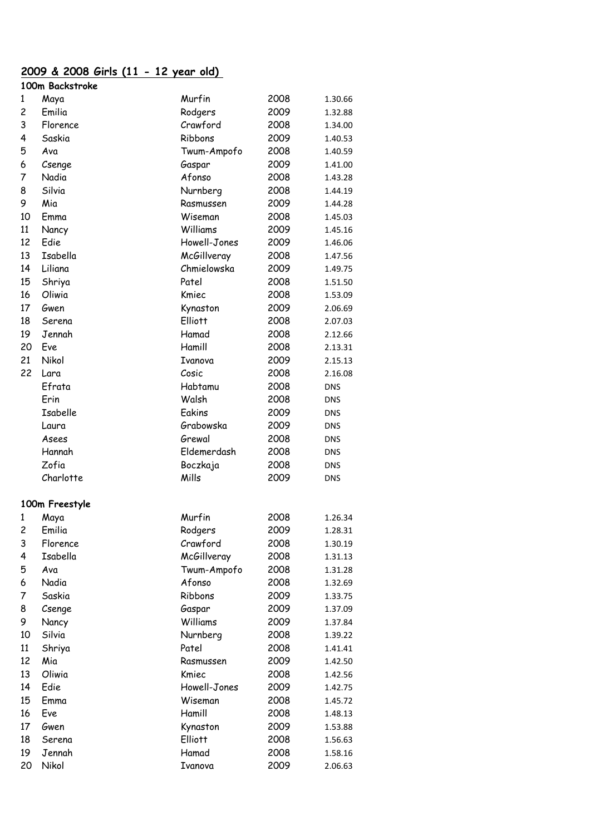#### **2009 & 2008 Girls (11 - 12 year old) 100m Backstroke**

|    | TOOLII DUCKSIIOKE |                |      |            |
|----|-------------------|----------------|------|------------|
| 1  | Maya              | Murfin         | 2008 | 1.30.66    |
| 2  | Emilia            | Rodgers        | 2009 | 1.32.88    |
| 3  | Florence          | Crawford       | 2008 | 1.34.00    |
| 4  | Saskia            | Ribbons        | 2009 | 1.40.53    |
| 5  | Ava               | Twum-Ampofo    | 2008 | 1.40.59    |
| 6  | Csenge            | Gaspar         | 2009 | 1.41.00    |
| 7  | Nadia             | Afonso         | 2008 | 1.43.28    |
| 8  | Silvia            | Nurnberg       | 2008 | 1.44.19    |
| 9  | Mia               | Rasmussen      | 2009 | 1.44.28    |
| 10 | Emma              | Wiseman        | 2008 | 1.45.03    |
| 11 | Nancy             | Williams       | 2009 | 1.45.16    |
| 12 | Edie              | Howell-Jones   | 2009 | 1.46.06    |
| 13 | Isabella          | McGillveray    | 2008 | 1.47.56    |
| 14 | Liliana           | Chmielowska    | 2009 | 1.49.75    |
| 15 | Shriya            | Patel          | 2008 | 1.51.50    |
| 16 | Oliwia            | Kmiec          | 2008 | 1.53.09    |
| 17 | Gwen              | Kynaston       | 2009 | 2.06.69    |
| 18 | Serena            | <b>Elliott</b> | 2008 | 2.07.03    |
| 19 | Jennah            | Hamad          | 2008 | 2.12.66    |
| 20 | Eve               | Hamill         | 2008 | 2.13.31    |
| 21 | Nikol             | Ivanova        | 2009 | 2.15.13    |
| 22 | Lara              | Cosic          | 2008 | 2.16.08    |
|    | Efrata            | Habtamu        | 2008 | <b>DNS</b> |
|    | Erin              | Walsh          | 2008 | <b>DNS</b> |
|    | Isabelle          | Eakins         | 2009 | <b>DNS</b> |
|    | Laura             | Grabowska      | 2009 | <b>DNS</b> |
|    | Asees             | Grewal         | 2008 | <b>DNS</b> |
|    | Hannah            | Eldemerdash    | 2008 | <b>DNS</b> |
|    | Zofia             | Boczkaja       | 2008 | <b>DNS</b> |
|    | Charlotte         | Mills          | 2009 | <b>DNS</b> |
|    | 100m Freestyle    |                |      |            |
| 1  | Maya              | Murfin         | 2008 | 1.26.34    |
| 2  | Emilia            | Rodgers        | 2009 | 1.28.31    |
| 3  | Florence          | Crawford       | 2008 | 1.30.19    |
| 4  | Isabella          | McGillveray    | 2008 | 1.31.13    |
| 5  | Ava               | Twum-Ampofo    | 2008 | 1.31.28    |
| 6  | Nadia             | Afonso         | 2008 | 1.32.69    |
| 7  | Saskia            | Ribbons        | 2009 | 1.33.75    |
| 8  | Csenge            | Gaspar         | 2009 | 1.37.09    |
| 9  | Nancy             | Williams       | 2009 | 1.37.84    |
| 10 | Silvia            | Nurnberg       | 2008 | 1.39.22    |
| 11 | Shriya            | Patel          | 2008 | 1.41.41    |
| 12 | Mia               | Rasmussen      | 2009 | 1.42.50    |
| 13 | Oliwia            | Kmiec          | 2008 | 1.42.56    |
| 14 | Edie              | Howell-Jones   | 2009 | 1.42.75    |
| 15 | Emma              | Wiseman        | 2008 | 1.45.72    |
| 16 | Eve               | Hamill         | 2008 | 1.48.13    |
| 17 | Gwen              | Kynaston       | 2009 | 1.53.88    |
| 18 | Serena            | <b>Elliott</b> | 2008 | 1.56.63    |
| 19 | Jennah            | Hamad          | 2008 | 1.58.16    |
| 20 | Nikol             | Ivanova        | 2009 | 2.06.63    |
|    |                   |                |      |            |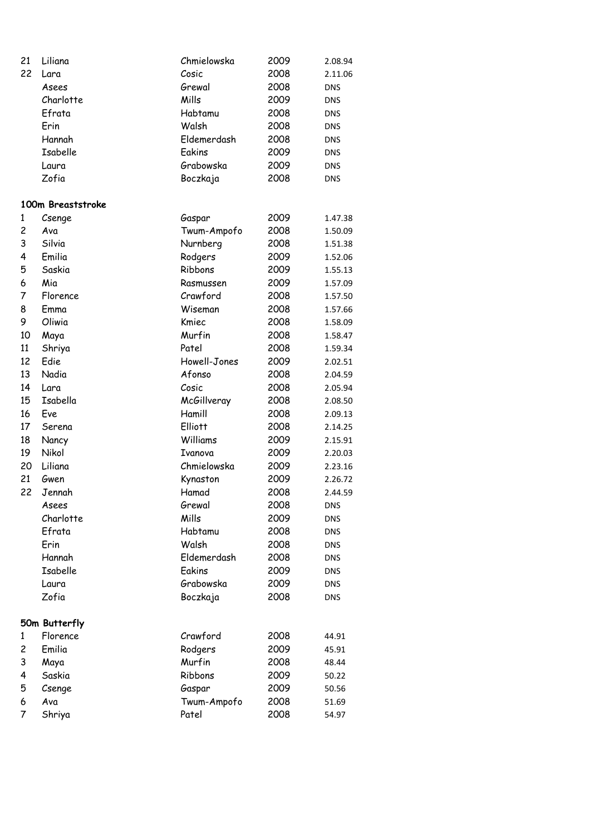| 21     | Liliana           | Chmielowska  | 2009 | 2.08.94    |
|--------|-------------------|--------------|------|------------|
| 22     | Lara              | Cosic        | 2008 | 2.11.06    |
|        | Asees             | Grewal       | 2008 | <b>DNS</b> |
|        | Charlotte         | Mills        | 2009 | DNS        |
|        | Efrata            | Habtamu      | 2008 | DNS        |
|        | Erin              | Walsh        | 2008 | DNS        |
|        | Hannah            | Eldemerdash  | 2008 | <b>DNS</b> |
|        | Isabelle          | Eakins       | 2009 | <b>DNS</b> |
|        | Laura             | Grabowska    | 2009 | DNS        |
|        | Zofia             | Boczkaja     | 2008 | <b>DNS</b> |
|        | 100m Breaststroke |              |      |            |
| 1      | Csenge            | Gaspar       | 2009 | 1.47.38    |
| 2      | Ava               | Twum-Ampofo  | 2008 | 1.50.09    |
| 3      | Silvia            | Nurnberg     | 2008 | 1.51.38    |
| 4      | Emilia            | Rodgers      | 2009 | 1.52.06    |
| 5      | Saskia            | Ribbons      | 2009 | 1.55.13    |
| 6      | Mia               | Rasmussen    | 2009 | 1.57.09    |
| 7      | Florence          | Crawford     | 2008 | 1.57.50    |
| 8      | Emma              | Wiseman      | 2008 | 1.57.66    |
| 9      | Oliwia            | Kmiec        | 2008 | 1.58.09    |
| 10     | Maya              | Murfin       | 2008 | 1.58.47    |
| 11     | Shriya            | Patel        | 2008 | 1.59.34    |
| 12     | Edie              | Howell-Jones | 2009 | 2.02.51    |
| 13     | Nadia             | Afonso       | 2008 | 2.04.59    |
| 14     | Lara              | Cosic        | 2008 | 2.05.94    |
| 15     | Isabella          | McGillveray  | 2008 | 2.08.50    |
| 16     | Eve               | Hamill       | 2008 | 2.09.13    |
| 17     | Serena            | Elliott      | 2008 | 2.14.25    |
| 18     | Nancy             | Williams     | 2009 | 2.15.91    |
| 19     | Nikol             | Ivanova      | 2009 | 2.20.03    |
| 20     | Liliana           | Chmielowska  | 2009 | 2.23.16    |
| 21     | Gwen              | Kynaston     | 2009 | 2.26.72    |
| 22     | Jennah            | Hamad        | 2008 | 2.44.59    |
|        | Asees             | Grewal       | 2008 | <b>DNS</b> |
|        | Charlotte         | Mills        | 2009 | <b>DNS</b> |
|        | Efrata            | Habtamu      | 2008 | <b>DNS</b> |
|        | Erin              | Walsh        | 2008 | <b>DNS</b> |
|        | Hannah            | Eldemerdash  | 2008 | <b>DNS</b> |
|        | <b>Isabelle</b>   | Eakins       | 2009 | <b>DNS</b> |
|        | Laura             | Grabowska    | 2009 | <b>DNS</b> |
|        | Zofia             | Boczkaja     | 2008 | <b>DNS</b> |
|        | 50m Butterfly     |              |      |            |
| 1      | Florence          | Crawford     | 2008 | 44.91      |
| 2      | Emilia            | Rodgers      | 2009 | 45.91      |
| 3      |                   | Murfin       | 2008 |            |
| 4      | Maya<br>Saskia    | Ribbons      | 2009 | 48.44      |
|        |                   |              |      | 50.22      |
| 5<br>6 | Csenge<br>Ava     | Gaspar       | 2009 | 50.56      |
| 7      |                   | Twum-Ampofo  | 2008 | 51.69      |
|        | Shriya            | Patel        | 2008 | 54.97      |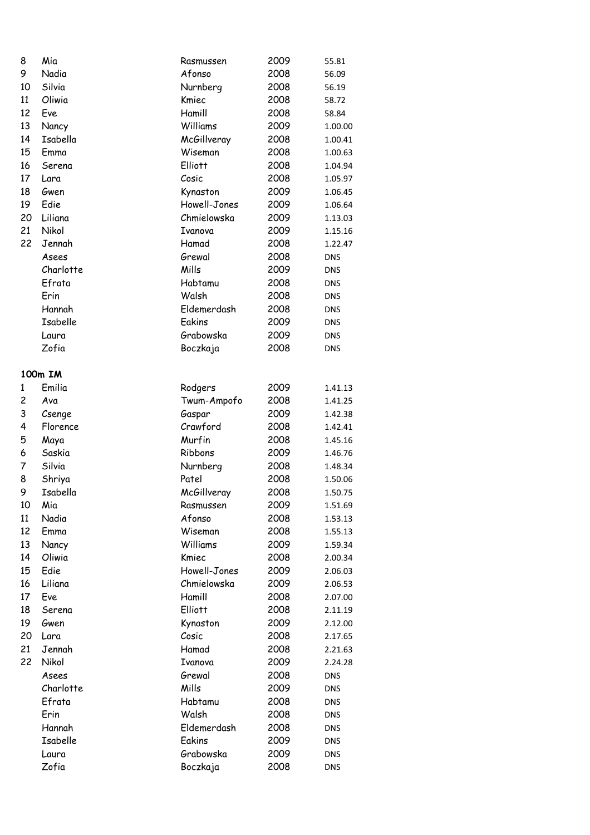| 8  | Mia             | Rasmussen      | 2009         | 55.81      |
|----|-----------------|----------------|--------------|------------|
| 9  | Nadia           | Afonso         | 2008         | 56.09      |
| 10 | Silvia          | Nurnberg       | 2008         | 56.19      |
| 11 | Oliwia          | Kmiec          | 2008         | 58.72      |
| 12 | Eve             | Hamill         | 2008         | 58.84      |
| 13 | Nancy           | Williams       | 2009         | 1.00.00    |
| 14 | Isabella        | McGillveray    | 2008         | 1.00.41    |
| 15 | Emma            | Wiseman        | 2008         | 1.00.63    |
| 16 | Serena          | <b>Elliott</b> | 2008         | 1.04.94    |
| 17 | Lara            | Cosic          | 2008         | 1.05.97    |
| 18 | Gwen            | Kynaston       | 2009         | 1.06.45    |
| 19 | Edie            | Howell-Jones   | 2009         | 1.06.64    |
| 20 | Liliana         | Chmielowska    | 2009         | 1.13.03    |
| 21 | Nikol           | Ivanova        | 2009         | 1.15.16    |
| 22 | Jennah          | Hamad          | 2008         | 1.22.47    |
|    | Asees           | Grewal         | 2008         | <b>DNS</b> |
|    | Charlotte       | Mills          | 2009         | <b>DNS</b> |
|    | Efrata          | Habtamu        | 2008         | DNS        |
|    | Erin            | Walsh          | 2008         | <b>DNS</b> |
|    | Hannah          | Eldemerdash    | 2008         | DNS        |
|    | <b>Isabelle</b> | Eakins         | 2009         | DNS        |
|    | Laura           | Grabowska      | 2009         | DNS        |
|    | Zofia           | Boczkaja       | 2008         | <b>DNS</b> |
|    |                 |                |              |            |
|    | 100m IM         |                |              |            |
| 1  | Emilia          | Rodgers        | 2009         | 1.41.13    |
| 2  | Ava             | Twum-Ampofo    | 2008         | 1.41.25    |
| 3  | Csenge          | Gaspar         | 2009         | 1.42.38    |
| 4  | Florence        | Crawford       | 2008         | 1.42.41    |
| 5  | Maya            | Murfin         | 2008         | 1.45.16    |
| 6  | Saskia          | Ribbons        | 2009         | 1.46.76    |
| 7  | Silvia          | Nurnberg       | 2008         | 1.48.34    |
| 8  | Shriya          | Patel          | 2008         | 1.50.06    |
| 9  | Isabella        | McGillveray    | 2008         | 1.50.75    |
| 10 | Mia             | Rasmussen      | 2009         | 1.51.69    |
| 11 | Nadia           | Afonso         | 2008         | 1.53.13    |
| 12 | Emma            | Wiseman        | 2008         |            |
| 13 | Nancy           | Williams       | 2009         | 1.55.13    |
| 14 | Oliwia          | Kmiec          | 2008         | 1.59.34    |
| 15 | Edie            | Howell-Jones   | 2009         | 2.00.34    |
| 16 | Liliana         | Chmielowska    | 2009         | 2.06.03    |
| 17 | Eve             | Hamill         | 2008         | 2.06.53    |
|    |                 | <b>Elliott</b> |              | 2.07.00    |
| 18 | Serena          |                | 2008<br>2009 | 2.11.19    |
| 19 | Gwen            | Kynaston       |              | 2.12.00    |
| 20 | Lara            | Cosic          | 2008         | 2.17.65    |
| 21 | Jennah          | Hamad          | 2008         | 2.21.63    |
| 22 | Nikol           | Ivanova        | 2009         | 2.24.28    |
|    | Asees           | Grewal         | 2008         | <b>DNS</b> |
|    | Charlotte       | Mills          | 2009         | <b>DNS</b> |
|    | Efrata          | Habtamu        | 2008         | <b>DNS</b> |
|    | Erin            | Walsh          | 2008         | <b>DNS</b> |
|    | Hannah          | Eldemerdash    | 2008         | <b>DNS</b> |
|    | Isabelle        | Eakins         | 2009         | <b>DNS</b> |
|    | Laura           | Grabowska      | 2009         | <b>DNS</b> |
|    | Zofia           | Boczkaja       | 2008         | <b>DNS</b> |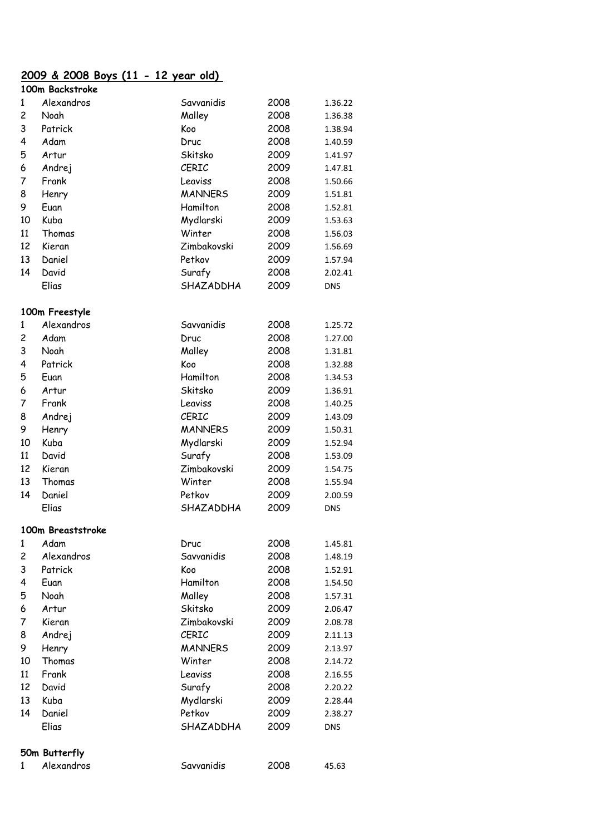# **2009 & 2008 Boys (11 - 12 year old)**

|                | 100m Backstroke   |                |      |            |  |
|----------------|-------------------|----------------|------|------------|--|
| 1              | Alexandros        | Savvanidis     | 2008 | 1.36.22    |  |
| $\overline{c}$ | Noah              | Malley         | 2008 | 1.36.38    |  |
| 3              | Patrick           | Koo            | 2008 | 1.38.94    |  |
| 4              | Adam              | Druc           | 2008 | 1.40.59    |  |
| 5              | Artur             | Skitsko        | 2009 | 1.41.97    |  |
| 6              | Andrej            | CERIC          | 2009 | 1.47.81    |  |
| 7              | Frank             | Leaviss        | 2008 | 1.50.66    |  |
| 8              | Henry             | <b>MANNERS</b> | 2009 | 1.51.81    |  |
| 9              | Euan              | Hamilton       | 2008 | 1.52.81    |  |
| 10             | Kuba              | Mydlarski      | 2009 | 1.53.63    |  |
| 11             | Thomas            | Winter         | 2008 | 1.56.03    |  |
| 12             | Kieran            | Zimbakovski    | 2009 | 1.56.69    |  |
| 13             | Daniel            | Petkov         | 2009 | 1.57.94    |  |
| 14             | David             | Surafy         | 2008 | 2.02.41    |  |
|                | Elias             | SHAZADDHA      | 2009 | <b>DNS</b> |  |
|                | 100m Freestyle    |                |      |            |  |
| $\mathbf{1}$   | Alexandros        | Savvanidis     | 2008 | 1.25.72    |  |
| $\overline{c}$ | Adam              | Druc           | 2008 | 1.27.00    |  |
| 3              | Noah              | Malley         | 2008 | 1.31.81    |  |
| 4              | Patrick           | Koo            | 2008 | 1.32.88    |  |
| 5              | Euan              | Hamilton       | 2008 | 1.34.53    |  |
| 6              | Artur             | Skitsko        | 2009 | 1.36.91    |  |
| 7              | Frank             | Leaviss        | 2008 | 1.40.25    |  |
| 8              | Andrej            | CERIC          | 2009 | 1.43.09    |  |
| 9              | Henry             | <b>MANNERS</b> | 2009 | 1.50.31    |  |
| 10             | Kuba              | Mydlarski      | 2009 | 1.52.94    |  |
| 11             | David             | Surafy         | 2008 | 1.53.09    |  |
| 12             | Kieran            | Zimbakovski    | 2009 | 1.54.75    |  |
| 13             | Thomas            | Winter         | 2008 | 1.55.94    |  |
| 14             | Daniel            | Petkov         | 2009 | 2.00.59    |  |
|                | Elias             | SHAZADDHA      | 2009 | <b>DNS</b> |  |
|                | 100m Breaststroke |                |      |            |  |
| 1              | Adam              | Druc           | 2008 | 1.45.81    |  |
| $\overline{c}$ | Alexandros        | Savvanidis     | 2008 | 1.48.19    |  |
| 3              | Patrick           | Koo            | 2008 | 1.52.91    |  |
| 4              | Euan              | Hamilton       | 2008 | 1.54.50    |  |
| 5              | Noah              | Malley         | 2008 | 1.57.31    |  |
| 6              | Artur             | Skitsko        | 2009 | 2.06.47    |  |
| 7              | Kieran            | Zimbakovski    | 2009 | 2.08.78    |  |
| 8              | Andrej            | CERIC          | 2009 | 2.11.13    |  |
| 9              | Henry             | <b>MANNERS</b> | 2009 | 2.13.97    |  |
| 10             | Thomas            | Winter         | 2008 | 2.14.72    |  |
| 11             | Frank             | Leaviss        | 2008 | 2.16.55    |  |
| 12             | David             | Surafy         | 2008 | 2.20.22    |  |
| 13             | Kuba              | Mydlarski      | 2009 | 2.28.44    |  |
| 14             | Daniel            | Petkov         | 2009 | 2.38.27    |  |
|                | Elias             | SHAZADDHA      | 2009 | DNS        |  |
|                | 50m Butterfly     |                |      |            |  |
| 1              | Alexandros        | Savvanidis     | 2008 | 45.63      |  |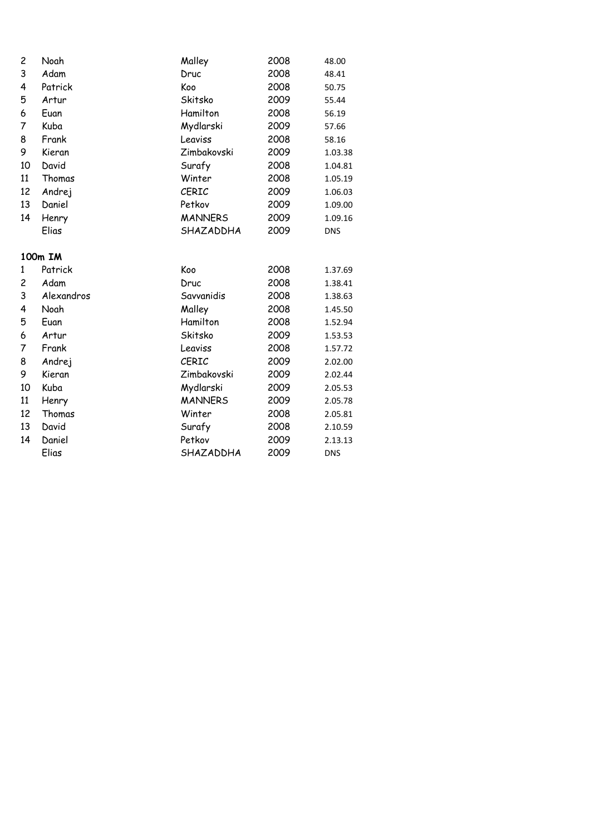| 2  | Noah       | Malley         | 2008 | 48.00      |
|----|------------|----------------|------|------------|
| 3  | Adam       | Druc           | 2008 | 48.41      |
| 4  | Patrick    | Koo            | 2008 | 50.75      |
| 5  | Artur      | Skitsko        | 2009 | 55.44      |
| 6  | Euan       | Hamilton       | 2008 | 56.19      |
| 7  | Kuba       | Mydlarski      | 2009 | 57.66      |
| 8  | Frank      | Leaviss        | 2008 | 58.16      |
| 9  | Kieran     | Zimbakovski    | 2009 | 1.03.38    |
| 10 | David      | Surafy         | 2008 | 1.04.81    |
| 11 | Thomas     | Winter         | 2008 | 1.05.19    |
| 12 | Andrej     | CERIC          | 2009 | 1.06.03    |
| 13 | Daniel     | Petkov         | 2009 | 1.09.00    |
| 14 | Henry      | <b>MANNERS</b> | 2009 | 1.09.16    |
|    | Elias      | SHAZADDHA      | 2009 | <b>DNS</b> |
|    | 100m IM    |                |      |            |
| 1  | Patrick    | Koo            | 2008 | 1.37.69    |
| 2  | Adam       | Druc           | 2008 | 1.38.41    |
| 3  | Alexandros | Savvanidis     | 2008 | 1.38.63    |
| 4  | Noah       | Malley         | 2008 | 1.45.50    |
| 5  | Euan       | Hamilton       | 2008 | 1.52.94    |
| 6  | Artur      | Skitsko        | 2009 | 1.53.53    |
| 7  | Frank      | Leaviss        | 2008 | 1.57.72    |
| 8  | Andrej     | CERIC          | 2009 | 2.02.00    |
| 9  | Kieran     | Zimbakovski    | 2009 | 2.02.44    |
| 10 | Kuba       | Mydlarski      | 2009 | 2.05.53    |
| 11 | Henry      | <b>MANNERS</b> | 2009 | 2.05.78    |
| 12 | Thomas     | Winter         | 2008 | 2.05.81    |
| 13 | David      | Surafy         | 2008 | 2.10.59    |
| 14 | Daniel     | Petkov         | 2009 | 2.13.13    |
|    | Elias      | SHAZADDHA      | 2009 | <b>DNS</b> |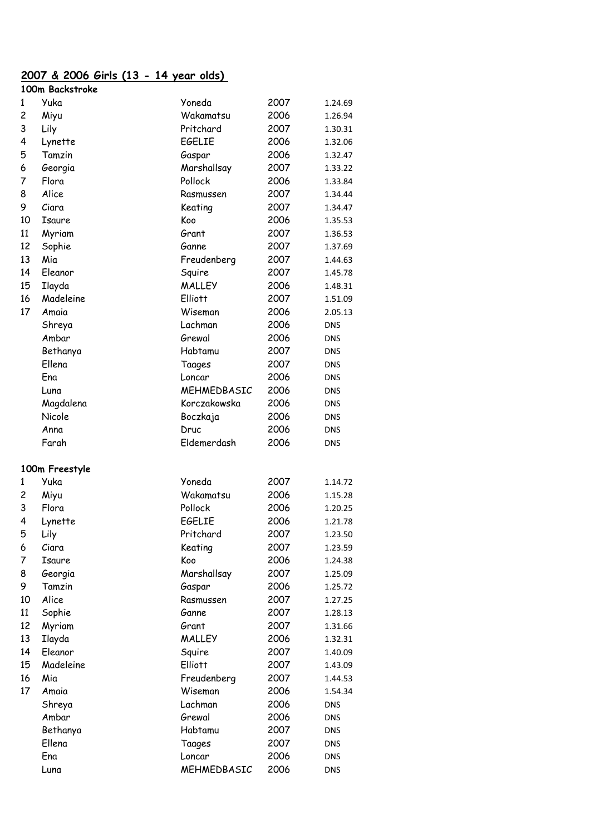# **2007 & 2006 Girls (13 - 14 year olds)**

|    | 100m Backstroke |                |      |                          |
|----|-----------------|----------------|------|--------------------------|
| 1  | Yuka            | Yoneda         | 2007 | 1.24.69                  |
| 2  | Miyu            | Wakamatsu      | 2006 | 1.26.94                  |
| 3  | Lily            | Pritchard      | 2007 | 1.30.31                  |
| 4  | Lynette         | EGELIE         | 2006 | 1.32.06                  |
| 5  | Tamzin          | Gaspar         | 2006 | 1.32.47                  |
| 6  | Georgia         | Marshallsay    | 2007 | 1.33.22                  |
| 7  | Flora           | Pollock        | 2006 | 1.33.84                  |
| 8  | Alice           | Rasmussen      | 2007 | 1.34.44                  |
| 9  | Ciara           | Keating        | 2007 | 1.34.47                  |
| 10 | Isaure          | Koo            | 2006 | 1.35.53                  |
| 11 | Myriam          | Grant          | 2007 | 1.36.53                  |
| 12 | Sophie          | Ganne          | 2007 | 1.37.69                  |
| 13 | Mia             | Freudenberg    | 2007 | 1.44.63                  |
| 14 | Eleanor         | Squire         | 2007 | 1.45.78                  |
| 15 | Ilayda          | <b>MALLEY</b>  | 2006 | 1.48.31                  |
| 16 | Madeleine       | <b>Elliott</b> | 2007 | 1.51.09                  |
| 17 | Amaia           | Wiseman        | 2006 | 2.05.13                  |
|    | Shreya          | Lachman        | 2006 | <b>DNS</b>               |
|    | Ambar           | Grewal         | 2006 | DNS                      |
|    | Bethanya        | Habtamu        | 2007 | DNS                      |
|    | Ellena          | Taages         | 2007 | <b>DNS</b>               |
|    | Ena             | Loncar         | 2006 | <b>DNS</b>               |
|    | Luna            | MEHMEDBASIC    | 2006 | DNS                      |
|    | Magdalena       | Korczakowska   | 2006 | DNS                      |
|    | Nicole          | Boczkaja       | 2006 | DNS                      |
|    | Anna            | Druc           | 2006 |                          |
|    | Farah           | Eldemerdash    | 2006 | <b>DNS</b><br><b>DNS</b> |
|    |                 |                |      |                          |
|    | 100m Freestyle  |                |      |                          |
| 1  | Yuka            | Yoneda         | 2007 | 1.14.72                  |
| 2  | Miyu            | Wakamatsu      | 2006 | 1.15.28                  |
| 3  | Flora           | Pollock        | 2006 | 1.20.25                  |
| 4  | Lynette         | <b>EGELIE</b>  | 2006 | 1.21.78                  |
| 5  | Lily            | Pritchard      | 2007 | 1.23.50                  |
| 6  | Ciara           | Keating        | 2007 | 1.23.59                  |
| 7  | Isaure          | Koo            | 2006 | 1.24.38                  |
| 8  | Georgia         | Marshallsay    | 2007 | 1.25.09                  |
| 9  | Tamzin          | Gaspar         | 2006 | 1.25.72                  |
| 10 | Alice           | Rasmussen      | 2007 | 1.27.25                  |
| 11 | Sophie          | Ganne          | 2007 | 1.28.13                  |
| 12 | Myriam          | Grant          | 2007 | 1.31.66                  |
| 13 | Ilayda          | <b>MALLEY</b>  | 2006 | 1.32.31                  |
| 14 | Eleanor         | Squire         | 2007 | 1.40.09                  |
| 15 | Madeleine       | <b>Elliott</b> | 2007 | 1.43.09                  |
| 16 | Mia             | Freudenberg    | 2007 | 1.44.53                  |
| 17 | Amaia           | Wiseman        | 2006 | 1.54.34                  |
|    | Shreya          | Lachman        | 2006 | <b>DNS</b>               |
|    | Ambar           | Grewal         | 2006 | <b>DNS</b>               |
|    | Bethanya        | Habtamu        | 2007 | DNS                      |
|    | Ellena          | Taages         | 2007 | <b>DNS</b>               |
|    | Ena             | Loncar         | 2006 | <b>DNS</b>               |
|    | Luna            | MEHMEDBASIC    | 2006 | <b>DNS</b>               |
|    |                 |                |      |                          |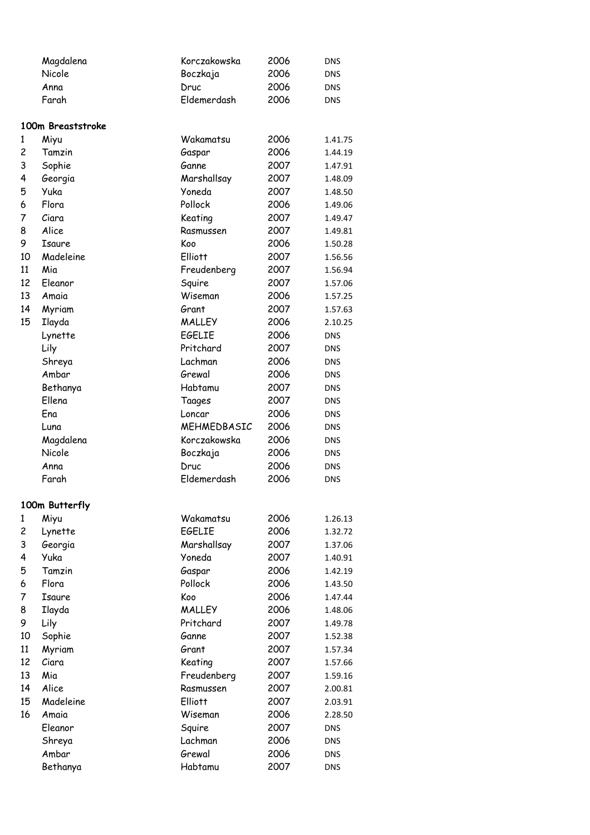|                         | Magdalena         | Korczakowska   | 2006 | <b>DNS</b> |
|-------------------------|-------------------|----------------|------|------------|
|                         | Nicole            | Boczkaja       | 2006 | <b>DNS</b> |
|                         | Anna              | Druc           | 2006 | <b>DNS</b> |
|                         | Farah             | Eldemerdash    | 2006 | DNS        |
|                         |                   |                |      |            |
|                         | 100m Breaststroke |                |      |            |
| 1                       | Miyu              | Wakamatsu      | 2006 | 1.41.75    |
| $\overline{c}$          | Tamzin            | Gaspar         | 2006 | 1.44.19    |
| 3                       | Sophie            | Ganne          | 2007 | 1.47.91    |
| 4                       | Georgia           | Marshallsay    | 2007 | 1.48.09    |
| 5                       | Yuka              | Yoneda         | 2007 | 1.48.50    |
| 6                       | Flora             | Pollock        | 2006 | 1.49.06    |
| 7                       | Ciara             | Keating        | 2007 | 1.49.47    |
| 8                       | Alice             | Rasmussen      | 2007 | 1.49.81    |
| 9                       | Isaure            | Koo            | 2006 | 1.50.28    |
| 10                      | Madeleine         | Elliott        | 2007 | 1.56.56    |
| 11                      | Mia               | Freudenberg    | 2007 | 1.56.94    |
| 12                      | Eleanor           | Squire         | 2007 | 1.57.06    |
| 13                      | Amaia             | Wiseman        | 2006 | 1.57.25    |
| 14                      | Myriam            | Grant          | 2007 | 1.57.63    |
| 15                      | Ilayda            | <b>MALLEY</b>  | 2006 | 2.10.25    |
|                         | Lynette           | <b>EGELIE</b>  | 2006 | <b>DNS</b> |
|                         | Lily              | Pritchard      | 2007 | <b>DNS</b> |
|                         | Shreya            | Lachman        | 2006 | DNS        |
|                         | Ambar             | Grewal         | 2006 | DNS        |
|                         | Bethanya          | Habtamu        | 2007 | <b>DNS</b> |
|                         | Ellena            | Taages         | 2007 | <b>DNS</b> |
|                         | Ena               | Loncar         | 2006 | <b>DNS</b> |
|                         | Luna              | MEHMEDBASIC    | 2006 | DNS        |
|                         | Magdalena         | Korczakowska   | 2006 | <b>DNS</b> |
|                         | Nicole            | Boczkaja       | 2006 | <b>DNS</b> |
|                         | Anna              | Druc           | 2006 | <b>DNS</b> |
|                         | Farah             | Eldemerdash    | 2006 | <b>DNS</b> |
|                         |                   |                |      |            |
|                         | 100m Butterfly    |                |      |            |
| 1                       | Miyu              | Wakamatsu      | 2006 | 1.26.13    |
| $\overline{\mathbf{c}}$ | Lynette           | <b>EGELIE</b>  | 2006 | 1.32.72    |
| 3                       | Georgia           | Marshallsay    | 2007 | 1.37.06    |
| 4                       | Yuka              | Yoneda         | 2007 | 1.40.91    |
| 5                       | Tamzin            | Gaspar         | 2006 | 1.42.19    |
| 6                       | Flora             | Pollock        | 2006 | 1.43.50    |
| 7                       | Isaure            | Koo            | 2006 | 1.47.44    |
| 8                       | Ilayda            | <b>MALLEY</b>  | 2006 | 1.48.06    |
| 9                       | Lily              | Pritchard      | 2007 | 1.49.78    |
| 10                      | Sophie            | Ganne          | 2007 | 1.52.38    |
| 11                      | Myriam            | Grant          | 2007 | 1.57.34    |
| 12                      | Ciara             | Keating        | 2007 | 1.57.66    |
| 13                      | Mia               | Freudenberg    | 2007 | 1.59.16    |
| 14                      | Alice             | Rasmussen      | 2007 | 2.00.81    |
| 15                      | Madeleine         | <b>Elliott</b> | 2007 | 2.03.91    |
| 16                      | Amaia             | Wiseman        | 2006 | 2.28.50    |
|                         | Eleanor           | Squire         | 2007 | <b>DNS</b> |
|                         | Shreya            | Lachman        | 2006 | <b>DNS</b> |
|                         | Ambar             | Grewal         | 2006 | DNS        |
|                         | Bethanya          | Habtamu        | 2007 | <b>DNS</b> |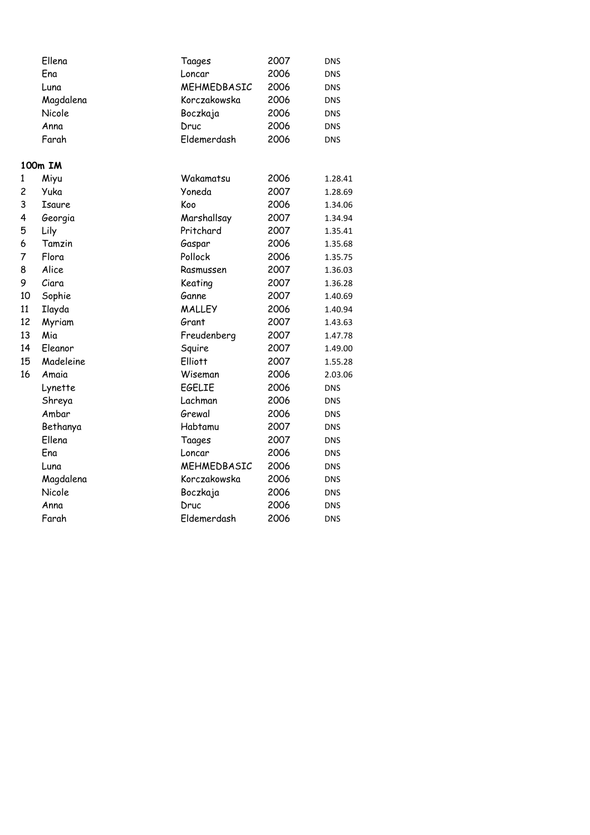|              | Ellena    | Taages         | 2007 | <b>DNS</b> |
|--------------|-----------|----------------|------|------------|
|              | Ena       | Loncar         | 2006 | <b>DNS</b> |
|              | Luna      | MEHMEDBASIC    | 2006 | DNS        |
|              | Magdalena | Korczakowska   | 2006 | DNS        |
|              | Nicole    | Boczkaja       | 2006 | <b>DNS</b> |
|              | Anna      | Druc           | 2006 | <b>DNS</b> |
|              | Farah     | Eldemerdash    | 2006 | <b>DNS</b> |
|              | 100m IM   |                |      |            |
| $\mathbf{1}$ | Miyu      | Wakamatsu      | 2006 | 1.28.41    |
| 2            | Yuka      | Yoneda         | 2007 | 1.28.69    |
| 3            | Isaure    | Koo            | 2006 | 1.34.06    |
| 4            | Georgia   | Marshallsay    | 2007 | 1.34.94    |
| 5            | Lily      | Pritchard      | 2007 | 1.35.41    |
| 6            | Tamzin    | Gaspar         | 2006 | 1.35.68    |
| 7            | Flora     | Pollock        | 2006 | 1.35.75    |
| 8            | Alice     | Rasmussen      | 2007 | 1.36.03    |
| 9            | Ciara     | Keating        | 2007 | 1.36.28    |
| 10           | Sophie    | Ganne          | 2007 | 1.40.69    |
| 11           | Ilayda    | <b>MALLEY</b>  | 2006 | 1.40.94    |
| 12           | Myriam    | Grant          | 2007 | 1.43.63    |
| 13           | Mia       | Freudenberg    | 2007 | 1.47.78    |
| 14           | Eleanor   | Squire         | 2007 | 1.49.00    |
| 15           | Madeleine | <b>Elliott</b> | 2007 | 1.55.28    |
| 16           | Amaia     | Wiseman        | 2006 | 2.03.06    |
|              | Lynette   | <b>EGELIE</b>  | 2006 | <b>DNS</b> |
|              | Shreya    | Lachman        | 2006 | DNS        |
|              | Ambar     | Grewal         | 2006 | <b>DNS</b> |
|              | Bethanya  | Habtamu        | 2007 | <b>DNS</b> |
|              | Ellena    | Taages         | 2007 | <b>DNS</b> |
|              | Ena       | Loncar         | 2006 | <b>DNS</b> |
|              | Luna      | MEHMEDBASIC    | 2006 | <b>DNS</b> |
|              | Magdalena | Korczakowska   | 2006 | <b>DNS</b> |
|              | Nicole    | Boczkaja       | 2006 | DNS        |
|              | Anna      | Druc           | 2006 | <b>DNS</b> |
|              | Farah     | Eldemerdash    | 2006 | <b>DNS</b> |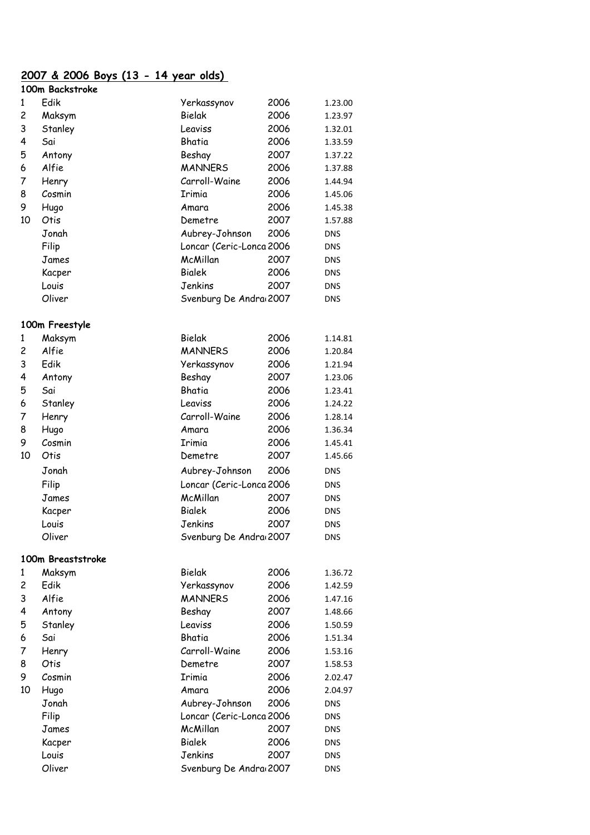#### **2007 & 2006 Boys (13 - 14 year olds)**

|    | 100m Backstroke   |                          |      |            |
|----|-------------------|--------------------------|------|------------|
| 1  | Edik              | Yerkassynov              | 2006 | 1.23.00    |
| 2  | Maksym            | Bielak                   | 2006 | 1.23.97    |
| 3  | Stanley           | Leaviss                  | 2006 | 1.32.01    |
| 4  | Sai               | Bhatia                   | 2006 | 1.33.59    |
| 5  | Antony            | Beshay                   | 2007 | 1.37.22    |
| 6  | Alfie             | <b>MANNERS</b>           | 2006 | 1.37.88    |
| 7  | Henry             | Carroll-Waine            | 2006 | 1.44.94    |
| 8  | Cosmin            | Irimia                   | 2006 | 1.45.06    |
| 9  | Hugo              | Amara                    | 2006 | 1.45.38    |
| 10 | Otis              | Demetre                  | 2007 | 1.57.88    |
|    | Jonah             | Aubrey-Johnson           | 2006 | <b>DNS</b> |
|    | Filip             | Loncar (Ceric-Lonca 2006 |      | <b>DNS</b> |
|    | James             | McMillan                 | 2007 | DNS        |
|    | Kacper            | <b>Bialek</b>            | 2006 | DNS        |
|    | Louis             | Jenkins                  | 2007 | <b>DNS</b> |
|    | Oliver            | Svenburg De Andra 2007   |      | DNS        |
|    |                   |                          |      |            |
|    | 100m Freestyle    |                          |      |            |
| 1  | Maksym            | Bielak                   | 2006 | 1.14.81    |
| 2  | Alfie             | <b>MANNERS</b>           | 2006 | 1.20.84    |
| 3  | Edik              | Yerkassynov              | 2006 | 1.21.94    |
| 4  | Antony            | Beshay                   | 2007 | 1.23.06    |
| 5  | Sai               | Bhatia                   | 2006 | 1.23.41    |
| 6  | Stanley           | Leaviss                  | 2006 | 1.24.22    |
| 7  | Henry             | Carroll-Waine            | 2006 | 1.28.14    |
| 8  | Hugo              | Amara                    | 2006 | 1.36.34    |
| 9  | Cosmin            | Irimia                   | 2006 | 1.45.41    |
| 10 | Otis              | Demetre                  | 2007 | 1.45.66    |
|    | Jonah             | Aubrey-Johnson           | 2006 | DNS        |
|    | Filip             | Loncar (Ceric-Lonca 2006 |      | DNS        |
|    | James             | McMillan                 | 2007 | DNS        |
|    | Kacper            | <b>Bialek</b>            | 2006 | DNS        |
|    | Louis             | Jenkins                  | 2007 | DNS        |
|    | Oliver            | Svenburg De Andra 2007   |      | DNS        |
|    | 100m Breaststroke |                          |      |            |
| 1  | Maksym            | Bielak                   | 2006 | 1.36.72    |
| 2  | Edik              | Yerkassynov              | 2006 | 1.42.59    |
| 3  | Alfie             | <b>MANNERS</b>           | 2006 | 1.47.16    |
| 4  | Antony            | Beshay                   | 2007 | 1.48.66    |
| 5  | Stanley           | Leaviss                  | 2006 | 1.50.59    |
| 6  | Sai               | Bhatia                   | 2006 | 1.51.34    |
| 7  | Henry             | Carroll-Waine            | 2006 | 1.53.16    |
| 8  | Otis              | Demetre                  | 2007 | 1.58.53    |
| 9  | Cosmin            | Irimia                   | 2006 | 2.02.47    |
| 10 | Hugo              | Amara                    | 2006 | 2.04.97    |
|    | Jonah             | Aubrey-Johnson           | 2006 | <b>DNS</b> |
|    | Filip             | Loncar (Ceric-Lonca 2006 |      | DNS        |
|    | James             | McMillan                 | 2007 | <b>DNS</b> |
|    | Kacper            | <b>Bialek</b>            | 2006 | DNS        |
|    | Louis             | Jenkins                  | 2007 | <b>DNS</b> |
|    | Oliver            | Svenburg De Andra 2007   |      | <b>DNS</b> |
|    |                   |                          |      |            |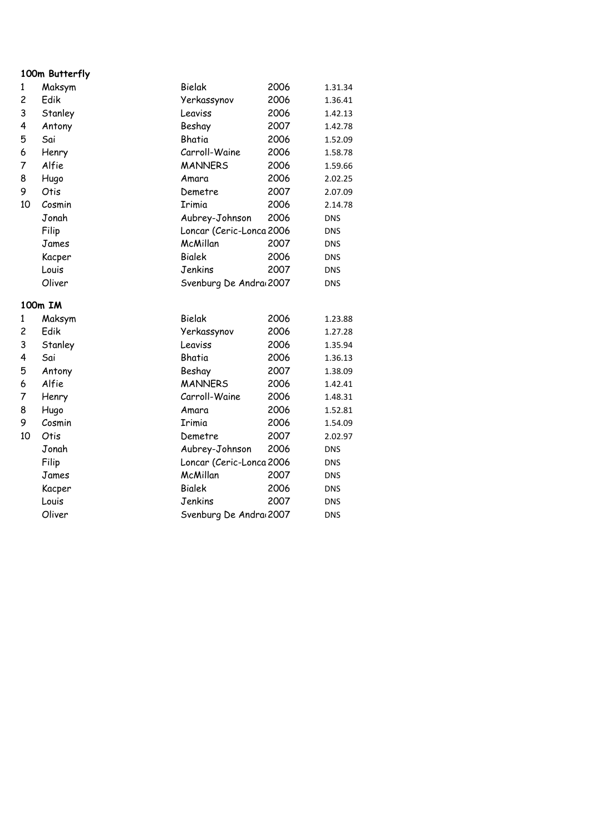#### **100m Butterfly**

| 1                                               | Maksym                                                                                                                                                    | Bielak                                                                                                                                                                                                                                | 2006                                                                                                         | 1.31.34                                                                                                                                                                                 |
|-------------------------------------------------|-----------------------------------------------------------------------------------------------------------------------------------------------------------|---------------------------------------------------------------------------------------------------------------------------------------------------------------------------------------------------------------------------------------|--------------------------------------------------------------------------------------------------------------|-----------------------------------------------------------------------------------------------------------------------------------------------------------------------------------------|
| $\overline{\mathbf{c}}$                         | Edik                                                                                                                                                      | Yerkassynov                                                                                                                                                                                                                           | 2006                                                                                                         | 1.36.41                                                                                                                                                                                 |
| 3                                               | Stanley                                                                                                                                                   | Leaviss                                                                                                                                                                                                                               | 2006                                                                                                         | 1.42.13                                                                                                                                                                                 |
| 4                                               | Antony                                                                                                                                                    | Beshay                                                                                                                                                                                                                                | 2007                                                                                                         | 1.42.78                                                                                                                                                                                 |
| 5                                               | Sai                                                                                                                                                       | Bhatia                                                                                                                                                                                                                                | 2006                                                                                                         | 1.52.09                                                                                                                                                                                 |
| 6                                               | Henry                                                                                                                                                     | Carroll-Waine                                                                                                                                                                                                                         | 2006                                                                                                         | 1.58.78                                                                                                                                                                                 |
| 7                                               | Alfie                                                                                                                                                     | <b>MANNERS</b>                                                                                                                                                                                                                        | 2006                                                                                                         | 1.59.66                                                                                                                                                                                 |
| 8                                               | Hugo                                                                                                                                                      | Amara                                                                                                                                                                                                                                 | 2006                                                                                                         | 2.02.25                                                                                                                                                                                 |
| 9                                               | Otis                                                                                                                                                      | Demetre                                                                                                                                                                                                                               | 2007                                                                                                         | 2.07.09                                                                                                                                                                                 |
| 10                                              | Cosmin                                                                                                                                                    | Irimia                                                                                                                                                                                                                                | 2006                                                                                                         | 2.14.78                                                                                                                                                                                 |
|                                                 | Jonah                                                                                                                                                     | Aubrey-Johnson                                                                                                                                                                                                                        | 2006                                                                                                         | <b>DNS</b>                                                                                                                                                                              |
|                                                 | Filip                                                                                                                                                     | Loncar (Ceric-Lonca 2006                                                                                                                                                                                                              |                                                                                                              | <b>DNS</b>                                                                                                                                                                              |
|                                                 | James                                                                                                                                                     | McMillan                                                                                                                                                                                                                              | 2007                                                                                                         | <b>DNS</b>                                                                                                                                                                              |
|                                                 | Kacper                                                                                                                                                    | <b>Bialek</b>                                                                                                                                                                                                                         | 2006                                                                                                         | <b>DNS</b>                                                                                                                                                                              |
|                                                 | Louis                                                                                                                                                     | Jenkins                                                                                                                                                                                                                               | 2007                                                                                                         | <b>DNS</b>                                                                                                                                                                              |
|                                                 | Oliver                                                                                                                                                    | Svenburg De Andra 2007                                                                                                                                                                                                                |                                                                                                              | <b>DNS</b>                                                                                                                                                                              |
|                                                 |                                                                                                                                                           |                                                                                                                                                                                                                                       |                                                                                                              |                                                                                                                                                                                         |
|                                                 |                                                                                                                                                           |                                                                                                                                                                                                                                       |                                                                                                              |                                                                                                                                                                                         |
|                                                 |                                                                                                                                                           |                                                                                                                                                                                                                                       |                                                                                                              |                                                                                                                                                                                         |
|                                                 |                                                                                                                                                           |                                                                                                                                                                                                                                       |                                                                                                              |                                                                                                                                                                                         |
|                                                 |                                                                                                                                                           |                                                                                                                                                                                                                                       |                                                                                                              |                                                                                                                                                                                         |
|                                                 |                                                                                                                                                           |                                                                                                                                                                                                                                       |                                                                                                              |                                                                                                                                                                                         |
|                                                 |                                                                                                                                                           |                                                                                                                                                                                                                                       |                                                                                                              |                                                                                                                                                                                         |
|                                                 |                                                                                                                                                           |                                                                                                                                                                                                                                       |                                                                                                              |                                                                                                                                                                                         |
|                                                 |                                                                                                                                                           |                                                                                                                                                                                                                                       |                                                                                                              |                                                                                                                                                                                         |
|                                                 |                                                                                                                                                           |                                                                                                                                                                                                                                       |                                                                                                              |                                                                                                                                                                                         |
|                                                 |                                                                                                                                                           |                                                                                                                                                                                                                                       |                                                                                                              |                                                                                                                                                                                         |
|                                                 |                                                                                                                                                           |                                                                                                                                                                                                                                       |                                                                                                              |                                                                                                                                                                                         |
|                                                 |                                                                                                                                                           |                                                                                                                                                                                                                                       |                                                                                                              |                                                                                                                                                                                         |
|                                                 |                                                                                                                                                           |                                                                                                                                                                                                                                       |                                                                                                              |                                                                                                                                                                                         |
|                                                 |                                                                                                                                                           |                                                                                                                                                                                                                                       |                                                                                                              |                                                                                                                                                                                         |
|                                                 |                                                                                                                                                           |                                                                                                                                                                                                                                       |                                                                                                              |                                                                                                                                                                                         |
|                                                 |                                                                                                                                                           |                                                                                                                                                                                                                                       |                                                                                                              |                                                                                                                                                                                         |
| 1<br>2<br>3<br>4<br>5<br>6<br>7<br>8<br>9<br>10 | 100m IM<br>Maksym<br>Edik<br>Stanley<br>Sai<br>Antony<br>Alfie<br>Henry<br>Hugo<br>Cosmin<br>Otis<br>Jonah<br>Filip<br>James<br>Kacper<br>Louis<br>Oliver | Bielak<br>Yerkassynov<br>Leaviss<br>Bhatia<br>Beshay<br><b>MANNERS</b><br>Carroll-Waine<br>Amara<br>Irimia<br>Demetre<br>Aubrey-Johnson<br>Loncar (Ceric-Lonca 2006<br>McMillan<br><b>Bialek</b><br>Jenkins<br>Svenburg De Andra 2007 | 2006<br>2006<br>2006<br>2006<br>2007<br>2006<br>2006<br>2006<br>2006<br>2007<br>2006<br>2007<br>2006<br>2007 | 1.23.88<br>1.27.28<br>1.35.94<br>1.36.13<br>1.38.09<br>1.42.41<br>1.48.31<br>1.52.81<br>1.54.09<br>2.02.97<br><b>DNS</b><br><b>DNS</b><br><b>DNS</b><br><b>DNS</b><br>DNS<br><b>DNS</b> |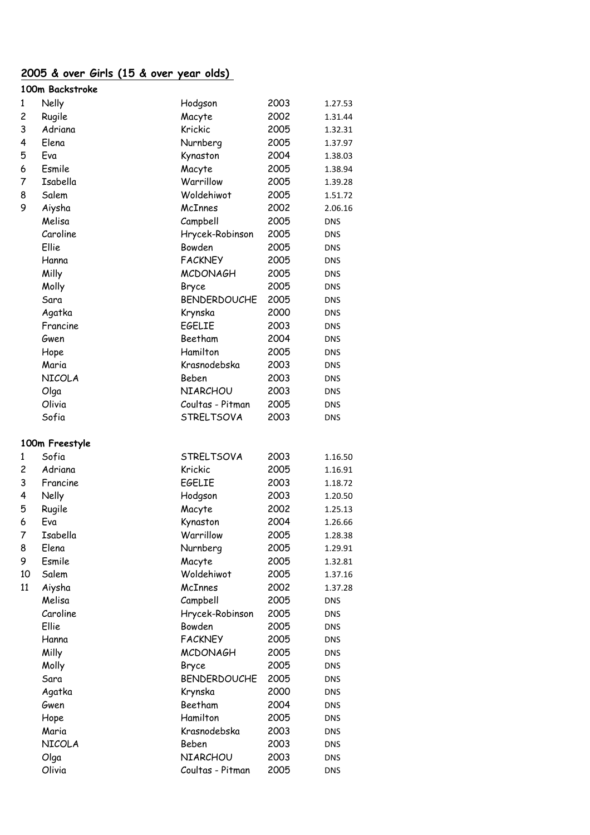### **2005 & over Girls (15 & over year olds)**

|    | 100m Backstroke |                     |      |            |
|----|-----------------|---------------------|------|------------|
| 1  | Nelly           | Hodgson             | 2003 | 1.27.53    |
| 2  | Rugile          | Macyte              | 2002 | 1.31.44    |
| 3  | Adriana         | Krickic             | 2005 | 1.32.31    |
| 4  | Elena           | Nurnberg            | 2005 | 1.37.97    |
| 5  | Eva             | Kynaston            | 2004 | 1.38.03    |
| 6  | Esmile          | Macyte              | 2005 | 1.38.94    |
| 7  | Isabella        | Warrillow           | 2005 | 1.39.28    |
| 8  | Salem           | Woldehiwot          | 2005 | 1.51.72    |
| 9  | Aiysha          | McInnes             | 2002 | 2.06.16    |
|    | Melisa          | Campbell            | 2005 | <b>DNS</b> |
|    | Caroline        | Hrycek-Robinson     | 2005 | DNS        |
|    | Ellie           | Bowden              | 2005 | DNS        |
|    | Hanna           | <b>FACKNEY</b>      | 2005 | DNS        |
|    | Milly           | <b>MCDONAGH</b>     | 2005 | DNS        |
|    | Molly           | Bryce               | 2005 | <b>DNS</b> |
|    | Sara            | <b>BENDERDOUCHE</b> | 2005 | <b>DNS</b> |
|    | Agatka          | Krynska             | 2000 | DNS        |
|    | Francine        | <b>EGELIE</b>       | 2003 | DNS        |
|    | Gwen            | Beetham             | 2004 | DNS        |
|    | Hope            | Hamilton            | 2005 | <b>DNS</b> |
|    | Maria           | Krasnodebska        | 2003 | <b>DNS</b> |
|    | <b>NICOLA</b>   | Beben               | 2003 | DNS        |
|    | Olga            | <b>NIARCHOU</b>     | 2003 | DNS        |
|    | Olivia          | Coultas - Pitman    | 2005 | <b>DNS</b> |
|    | Sofia           | <b>STRELTSOVA</b>   | 2003 | DNS        |
|    |                 |                     |      |            |
|    | 100m Freestyle  |                     |      |            |
| 1  | Sofia           | <b>STRELTSOVA</b>   | 2003 | 1.16.50    |
| 2  | Adriana         | Krickic             | 2005 | 1.16.91    |
| 3  | Francine        | <b>EGELIE</b>       | 2003 | 1.18.72    |
| 4  | Nelly           | Hodgson             | 2003 | 1.20.50    |
| 5  | Rugile          | Macyte              | 2002 | 1.25.13    |
| 6  | Eva             | Kynaston            | 2004 | 1.26.66    |
| 7  | Isabella        | Warrillow           | 2005 | 1.28.38    |
| 8  | Elena           | Nurnberg            | 2005 | 1.29.91    |
| 9  | Esmile          | Macyte              | 2005 | 1.32.81    |
| 10 | Salem           | Woldehiwot          | 2005 | 1.37.16    |
| 11 | Aiysha          | McInnes             | 2002 | 1.37.28    |
|    | Melisa          | Campbell            | 2005 | <b>DNS</b> |
|    | Caroline        | Hrycek-Robinson     | 2005 | <b>DNS</b> |
|    | Ellie           | Bowden              | 2005 | <b>DNS</b> |
|    | Hanna           | <b>FACKNEY</b>      | 2005 | DNS        |
|    | Milly           | <b>MCDONAGH</b>     | 2005 | <b>DNS</b> |
|    | Molly           | Bryce               | 2005 | <b>DNS</b> |
|    | Sara            | <b>BENDERDOUCHE</b> | 2005 | <b>DNS</b> |
|    | Agatka          | Krynska             | 2000 | <b>DNS</b> |
|    | Gwen            | Beetham             | 2004 | DNS        |
|    |                 |                     |      |            |
|    | Hope            | Hamilton            | 2005 | <b>DNS</b> |
|    | Maria           | Krasnodebska        | 2003 | <b>DNS</b> |
|    | <b>NICOLA</b>   | Beben               | 2003 | <b>DNS</b> |
|    | Olga            | <b>NIARCHOU</b>     | 2003 | <b>DNS</b> |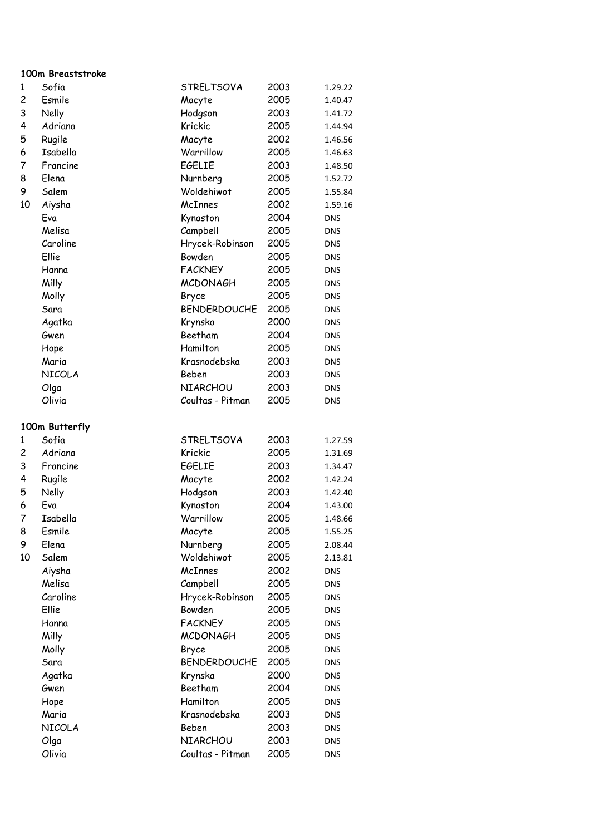### **100m Breaststroke**

| $\mathbf{1}$   | Sofia          | <b>STRELTSOVA</b>   | 2003         | 1.29.22    |
|----------------|----------------|---------------------|--------------|------------|
| $\overline{c}$ | Esmile         | Macyte              | 2005         | 1.40.47    |
| 3              | Nelly          | Hodgson             | 2003         | 1.41.72    |
| 4              | Adriana        | Krickic             | 2005         | 1.44.94    |
| 5              | Rugile         | Macyte              | 2002         | 1.46.56    |
| 6              | Isabella       | Warrillow           | 2005         | 1.46.63    |
| 7              | Francine       | <b>EGELIE</b>       | 2003         | 1.48.50    |
| 8              | Elena          | Nurnberg            | 2005         | 1.52.72    |
| 9              | Salem          | Woldehiwot          | 2005         | 1.55.84    |
| 10             | Aiysha         | McInnes             | 2002         | 1.59.16    |
|                | Eva            | Kynaston            | 2004         | <b>DNS</b> |
|                | Melisa         | Campbell            | 2005         | <b>DNS</b> |
|                | Caroline       | Hrycek-Robinson     | 2005         | <b>DNS</b> |
|                | Ellie          | Bowden              | 2005         | <b>DNS</b> |
|                | Hanna          | <b>FACKNEY</b>      | 2005         | <b>DNS</b> |
|                | Milly          | <b>MCDONAGH</b>     | 2005         | <b>DNS</b> |
|                | Molly          | Bryce               | 2005         | <b>DNS</b> |
|                | Sara           | <b>BENDERDOUCHE</b> | 2005         | <b>DNS</b> |
|                | Agatka         | Krynska             | 2000         | <b>DNS</b> |
|                | Gwen           | Beetham             | 2004         | <b>DNS</b> |
|                | Hope           | Hamilton            | 2005         | <b>DNS</b> |
|                | Maria          | Krasnodebska        | 2003         | <b>DNS</b> |
|                | NICOLA         | Beben               | 2003         | <b>DNS</b> |
|                | Olga           | NIARCHOU            | 2003         | <b>DNS</b> |
|                | Olivia         | Coultas - Pitman    | 2005         | <b>DNS</b> |
|                |                |                     |              |            |
|                | 100m Butterfly |                     |              |            |
| 1              | Sofia          | <b>STRELTSOVA</b>   | 2003         | 1.27.59    |
| 2              | Adriana        | Krickic             | 2005         | 1.31.69    |
| 3              | Francine       | <b>EGELIE</b>       | 2003         | 1.34.47    |
| 4              | Rugile         | Macyte              | 2002         | 1.42.24    |
| 5              | Nelly          | Hodgson             | 2003         | 1.42.40    |
| 6              | Eva            | Kynaston            | 2004         | 1.43.00    |
| 7              | Isabella       | Warrillow           | 2005         | 1.48.66    |
| 8              | Esmile         | Macyte              | 2005         | 1.55.25    |
| 9              | Elena          | Nurnberg            | 2005         | 2.08.44    |
| 10             | Salem          | Woldehiwot          | 2005         | 2.13.81    |
|                | Aiysha         | McInnes             | 2002         | <b>DNS</b> |
|                | Melisa         | Campbell            | 2005         | <b>DNS</b> |
|                | Caroline       | Hrycek-Robinson     | 2005         | <b>DNS</b> |
|                | Ellie          | Bowden              | 2005         | <b>DNS</b> |
|                | Hanna          | <b>FACKNEY</b>      | 2005         | <b>DNS</b> |
|                | Milly          | <b>MCDONAGH</b>     | 2005         | <b>DNS</b> |
|                | Molly          | Bryce               | 2005         | <b>DNS</b> |
|                | Sara           | <b>BENDERDOUCHE</b> | 2005         | <b>DNS</b> |
|                |                | Krynska             | 2000         |            |
|                | Agatka<br>Gwen | Beetham             | 2004         | <b>DNS</b> |
|                |                | Hamilton            |              | <b>DNS</b> |
|                | Hope<br>Maria  | Krasnodebska        | 2005<br>2003 | <b>DNS</b> |
|                |                |                     |              | <b>DNS</b> |
|                | NICOLA         | Beben<br>NIARCHOU   | 2003         | <b>DNS</b> |
|                | Olga<br>Olivia | Coultas - Pitman    | 2003<br>2005 | <b>DNS</b> |
|                |                |                     |              | <b>DNS</b> |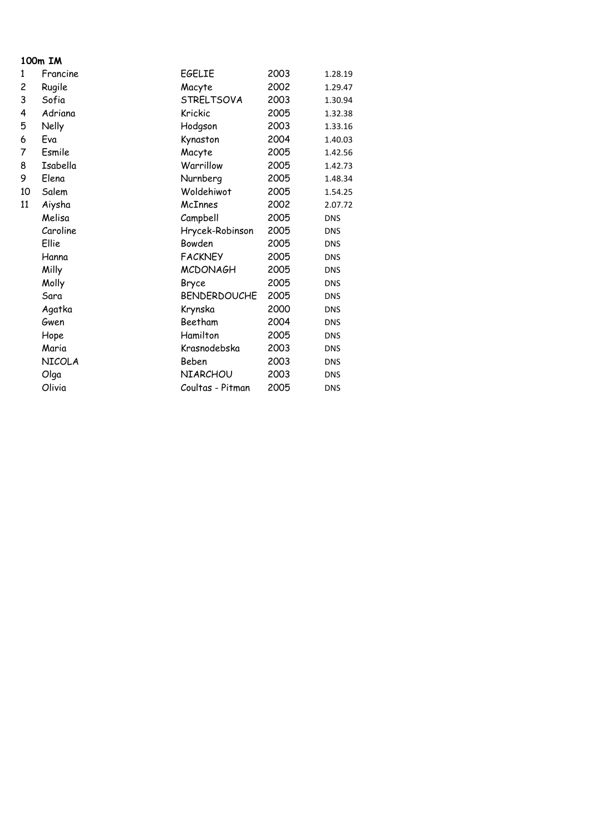### **100m IM**

| 1  | Francine      | EGELIE              | 2003 | 1.28.19    |
|----|---------------|---------------------|------|------------|
| 2  | Rugile        | Macyte              | 2002 | 1.29.47    |
| 3  | Sofia         | <b>STRELTSOVA</b>   | 2003 | 1.30.94    |
| 4  | Adriana       | Krickic             | 2005 | 1.32.38    |
| 5  | Nelly         | Hodgson             | 2003 | 1.33.16    |
| 6  | Eva           | Kynaston            | 2004 | 1.40.03    |
| 7  | Esmile        | Macyte              | 2005 | 1.42.56    |
| 8  | Isabella      | Warrillow           | 2005 | 1.42.73    |
| 9  | Elena         | Nurnberg            | 2005 | 1.48.34    |
| 10 | Salem         | Woldehiwot          | 2005 | 1.54.25    |
| 11 | Aiysha        | McInnes             | 2002 | 2.07.72    |
|    | Melisa        | Campbell            | 2005 | <b>DNS</b> |
|    | Caroline      | Hrycek-Robinson     | 2005 | <b>DNS</b> |
|    | Ellie         | Bowden              | 2005 | <b>DNS</b> |
|    | Hanna         | <b>FACKNEY</b>      | 2005 | <b>DNS</b> |
|    | Milly         | <b>MCDONAGH</b>     | 2005 | <b>DNS</b> |
|    | Molly         | Bryce               | 2005 | <b>DNS</b> |
|    | Sara          | <b>BENDERDOUCHE</b> | 2005 | <b>DNS</b> |
|    | Agatka        | Krynska             | 2000 | <b>DNS</b> |
|    | Gwen          | Beetham             | 2004 | <b>DNS</b> |
|    | Hope          | Hamilton            | 2005 | <b>DNS</b> |
|    | Maria         | Krasnodebska        | 2003 | <b>DNS</b> |
|    | <b>NICOLA</b> | Beben               | 2003 | <b>DNS</b> |
|    | Olga          | NIARCHOU            | 2003 | <b>DNS</b> |
|    | Olivia        | Coultas - Pitman    | 2005 | <b>DNS</b> |
|    |               |                     |      |            |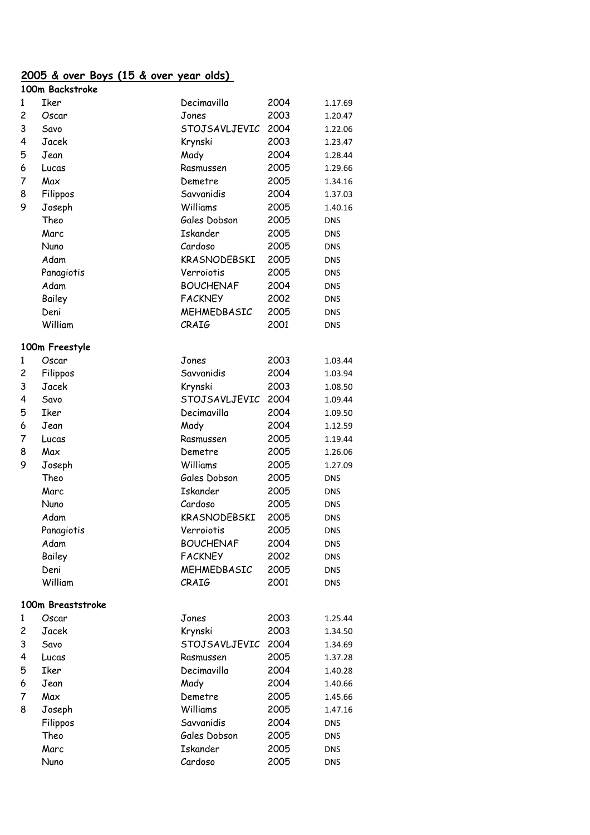#### **2005 & over Boys (15 & over year olds)**

|   | 100m Backstroke   |                  |      |            |
|---|-------------------|------------------|------|------------|
| 1 | Iker              | Decimavilla      | 2004 | 1.17.69    |
| 2 | Oscar             | Jones            | 2003 | 1.20.47    |
| 3 | Savo              | STOJSAVLJEVIC    | 2004 | 1.22.06    |
| 4 | Jacek             | Krynski          | 2003 | 1.23.47    |
| 5 | Jean              | Mady             | 2004 | 1.28.44    |
| 6 | Lucas             | Rasmussen        | 2005 | 1.29.66    |
| 7 | Max               | Demetre          | 2005 | 1.34.16    |
| 8 | Filippos          | Savvanidis       | 2004 | 1.37.03    |
| 9 | Joseph            | Williams         | 2005 | 1.40.16    |
|   | Theo              | Gales Dobson     | 2005 | <b>DNS</b> |
|   | Marc              | <b>Iskander</b>  | 2005 | <b>DNS</b> |
|   | Nuno              | Cardoso          | 2005 | DNS        |
|   | Adam              | KRASNODEBSKI     | 2005 | DNS        |
|   | Panagiotis        | Verroiotis       | 2005 | <b>DNS</b> |
|   | Adam              | <b>BOUCHENAF</b> | 2004 | <b>DNS</b> |
|   | Bailey            | <b>FACKNEY</b>   | 2002 | <b>DNS</b> |
|   | Deni              | MEHMEDBASIC      | 2005 | DNS        |
|   | William           | CRAIG            | 2001 | <b>DNS</b> |
|   | 100m Freestyle    |                  |      |            |
| 1 | Oscar             | Jones            | 2003 | 1.03.44    |
| 2 | Filippos          | Savvanidis       | 2004 | 1.03.94    |
| 3 | Jacek             | Krynski          | 2003 | 1.08.50    |
| 4 | Savo              | STOJSAVLJEVIC    | 2004 | 1.09.44    |
| 5 | Iker              | Decimavilla      | 2004 | 1.09.50    |
| 6 | Jean              | Mady             | 2004 | 1.12.59    |
| 7 | Lucas             | Rasmussen        | 2005 | 1.19.44    |
| 8 | Max               | Demetre          | 2005 | 1.26.06    |
| 9 | Joseph            | Williams         | 2005 | 1.27.09    |
|   | Theo              | Gales Dobson     | 2005 | DNS        |
|   | Marc              | <b>Iskander</b>  | 2005 | <b>DNS</b> |
|   | Nuno              | Cardoso          | 2005 | DNS        |
|   | Adam              | KRASNODEBSKI     | 2005 | DNS        |
|   | Panagiotis        | Verroiotis       | 2005 | <b>DNS</b> |
|   | Adam              | <b>BOUCHENAF</b> | 2004 | DNS        |
|   | Bailey            | <b>FACKNEY</b>   | 2002 | <b>DNS</b> |
|   | Deni              | MEHMEDBASIC      | 2005 | <b>DNS</b> |
|   | William           | CRAIG            | 2001 | <b>DNS</b> |
|   | 100m Breaststroke |                  |      |            |
| 1 | Oscar             | Jones            | 2003 | 1.25.44    |
| 2 | Jacek             | Krynski          | 2003 | 1.34.50    |
| 3 | Savo              | STOJSAVLJEVIC    | 2004 | 1.34.69    |
| 4 | Lucas             | Rasmussen        | 2005 | 1.37.28    |
| 5 | Iker              | Decimavilla      | 2004 | 1.40.28    |
| 6 | Jean              | Mady             | 2004 | 1.40.66    |
| 7 | Max               | Demetre          | 2005 | 1.45.66    |
| 8 | Joseph            | Williams         | 2005 | 1.47.16    |
|   | Filippos          | Savvanidis       | 2004 | <b>DNS</b> |
|   | Theo              | Gales Dobson     | 2005 | <b>DNS</b> |
|   | Marc              | <b>Iskander</b>  | 2005 | <b>DNS</b> |
|   | Nuno              | Cardoso          | 2005 | <b>DNS</b> |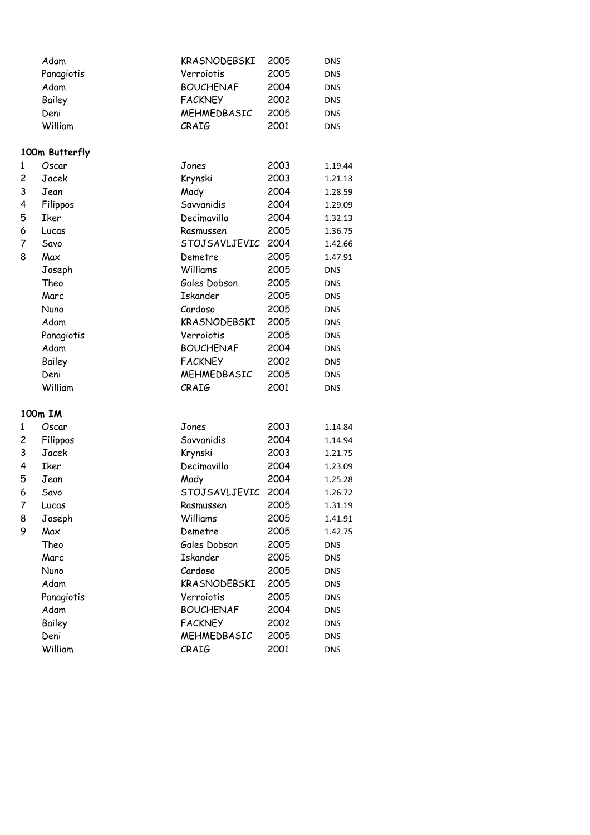|   | Adam           | KRASNODEBSKI     | 2005 | <b>DNS</b> |
|---|----------------|------------------|------|------------|
|   | Panagiotis     | Verroiotis       | 2005 | <b>DNS</b> |
|   | Adam           | <b>BOUCHENAF</b> | 2004 | <b>DNS</b> |
|   | Bailey         | <b>FACKNEY</b>   | 2002 | <b>DNS</b> |
|   | Deni           | MEHMEDBASIC      | 2005 | <b>DNS</b> |
|   | William        | CRAIG            | 2001 | <b>DNS</b> |
|   |                |                  |      |            |
|   | 100m Butterfly |                  |      |            |
| 1 | Oscar          | Jones            | 2003 | 1.19.44    |
| 2 | Jacek          | Krynski          | 2003 | 1.21.13    |
| 3 | Jean           | Mady             | 2004 | 1.28.59    |
| 4 | Filippos       | Savvanidis       | 2004 | 1.29.09    |
| 5 | Iker           | Decimavilla      | 2004 | 1.32.13    |
| 6 | Lucas          | Rasmussen        | 2005 | 1.36.75    |
| 7 | Savo           | STOJSAVLJEVIC    | 2004 | 1.42.66    |
| 8 | Max            | Demetre          | 2005 | 1.47.91    |
|   | Joseph         | Williams         | 2005 | <b>DNS</b> |
|   | Theo           | Gales Dobson     | 2005 | DNS        |
|   | Marc           | <b>Iskander</b>  | 2005 | <b>DNS</b> |
|   | Nuno           | Cardoso          | 2005 | <b>DNS</b> |
|   | Adam           | KRASNODEBSKI     | 2005 | <b>DNS</b> |
|   | Panagiotis     | Verroiotis       | 2005 | <b>DNS</b> |
|   | Adam           | <b>BOUCHENAF</b> | 2004 | <b>DNS</b> |
|   | Bailey         | <b>FACKNEY</b>   | 2002 | <b>DNS</b> |
|   | Deni           | MEHMEDBASIC      | 2005 | <b>DNS</b> |
|   | William        | CRAIG            | 2001 | <b>DNS</b> |
|   |                |                  |      |            |
|   | 100m IM        |                  |      |            |
| 1 | Oscar          | Jones            | 2003 | 1.14.84    |
| 2 | Filippos       | Savvanidis       | 2004 | 1.14.94    |
| 3 | Jacek          | Krynski          | 2003 | 1.21.75    |
| 4 | Iker           | Decimavilla      | 2004 | 1.23.09    |
| 5 | Jean           | Mady             | 2004 | 1.25.28    |
| 6 | Savo           | STOJSAVLJEVIC    | 2004 | 1.26.72    |
| 7 | Lucas          | Rasmussen        | 2005 | 1.31.19    |
| 8 | Joseph         | Williams         | 2005 | 1.41.91    |
| 9 | Max            | Demetre          | 2005 | 1.42.75    |
|   | Theo           | Gales Dobson     | 2005 | <b>DNS</b> |
|   | Marc           | <b>Iskander</b>  | 2005 | <b>DNS</b> |
|   | Nuno           | Cardoso          | 2005 | <b>DNS</b> |
|   | Adam           | KRASNODEBSKI     | 2005 | <b>DNS</b> |
|   | Panagiotis     | Verroiotis       | 2005 | <b>DNS</b> |
|   | Adam           | <b>BOUCHENAF</b> | 2004 | <b>DNS</b> |
|   | Bailey         | <b>FACKNEY</b>   | 2002 | <b>DNS</b> |
|   | Deni           | MEHMEDBASIC      | 2005 | <b>DNS</b> |
|   | William        | CRAIG            | 2001 | <b>DNS</b> |